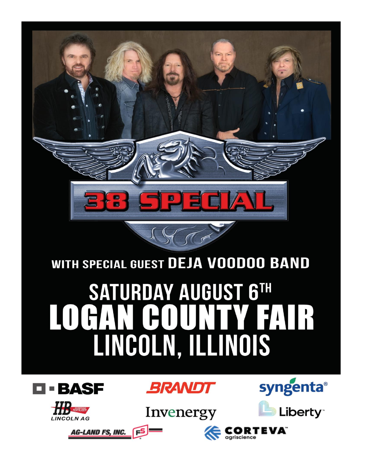

# WITH SPECIAL GUEST DEJA VOODOO BAND

# **SATURDAY AUGUST 6TH TEATR** LINCOLN, ILLINOIS







**AG-LAND FS, INC.** 





RTEVA"

agriscience